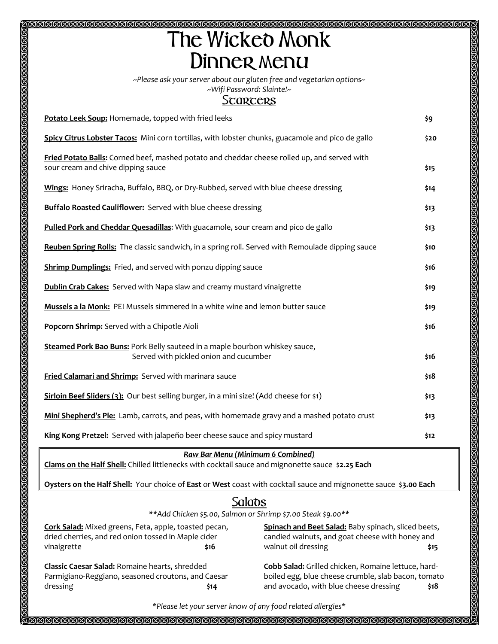## **SSSSSSSSSSSSSSSSSSS** T**he** W**icked** M**onk** D**inner** m**enu**

*~Please ask your server about our gluten free and vegetarian options~*

## *~Wifi Password: Slainte!~* S**tarters**

| Potato Leek Soup: Homemade, topped with fried leeks                                                                                | \$9  |
|------------------------------------------------------------------------------------------------------------------------------------|------|
| Spicy Citrus Lobster Tacos: Mini corn tortillas, with lobster chunks, guacamole and pico de gallo                                  | \$20 |
| Fried Potato Balls: Corned beef, mashed potato and cheddar cheese rolled up, and served with<br>sour cream and chive dipping sauce | \$15 |
| Wings: Honey Sriracha, Buffalo, BBQ, or Dry-Rubbed, served with blue cheese dressing                                               | \$14 |
| <b>Buffalo Roasted Cauliflower:</b> Served with blue cheese dressing                                                               | \$13 |
| Pulled Pork and Cheddar Quesadillas: With guacamole, sour cream and pico de gallo                                                  | \$13 |
| Reuben Spring Rolls: The classic sandwich, in a spring roll. Served with Remoulade dipping sauce                                   | \$10 |
| <b>Shrimp Dumplings:</b> Fried, and served with ponzu dipping sauce                                                                | \$16 |
| <b>Dublin Crab Cakes:</b> Served with Napa slaw and creamy mustard vinaigrette                                                     | \$19 |
| Mussels a la Monk: PEI Mussels simmered in a white wine and lemon butter sauce                                                     | \$19 |
| Popcorn Shrimp: Served with a Chipotle Aioli                                                                                       | \$16 |
| Steamed Pork Bao Buns: Pork Belly sauteed in a maple bourbon whiskey sauce,<br>Served with pickled onion and cucumber              | \$16 |
| Fried Calamari and Shrimp: Served with marinara sauce                                                                              | \$18 |
| Sirloin Beef Sliders (3): Our best selling burger, in a mini size! (Add cheese for \$1)                                            | \$13 |
| Mini Shepherd's Pie: Lamb, carrots, and peas, with homemade gravy and a mashed potato crust                                        | \$13 |
| King Kong Pretzel: Served with jalapeño beer cheese sauce and spicy mustard                                                        | \$12 |

## *Raw Bar Menu (Minimum 6 Combined)*

**Clams on the Half Shell:** Chilled littlenecks with cocktail sauce and mignonette sauce \$**2.25 Each**

**Oysters on the Half Shell:** Your choice of **East** or **West** coast with cocktail sauce and mignonette sauce \$**3.00 Each**

## S**alads**

*\*\*Add Chicken \$5.00, Salmon or Shrimp \$7.00 Steak \$9.00\*\**

**Cork Salad:** Mixed greens, Feta, apple, toasted pecan, dried cherries, and red onion tossed in Maple cider vinaigrette **\$16**

**Classic Caesar Salad:** Romaine hearts, shredded Parmigiano-Reggiano, seasoned croutons, and Caesar dressing **\$14**

**Spinach and Beet Salad:** Baby spinach, sliced beets, candied walnuts, and goat cheese with honey and walnut oil dressing **\$15** 

1900000000000000

**Cobb Salad:** Grilled chicken, Romaine lettuce, hardboiled egg, blue cheese crumble, slab bacon, tomato and avocado, with blue cheese dressing **\$18**

*\*Please let your server know of any food related allergies\**